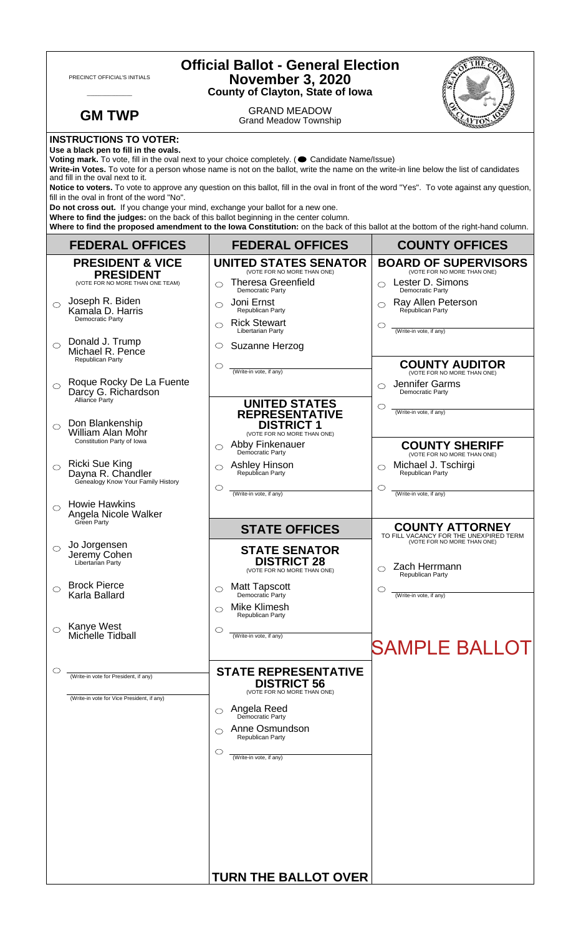| PRECINCT OFFICIAL'S INITIALS                                                                                                                                                                                                                                                                                                                                                                                                                                                                                                                                                                                                                                                                                                                                                                                                                                        |                                                                                     | <b>Official Ballot - General Election</b><br><b>November 3, 2020</b><br><b>County of Clayton, State of Iowa</b> |                                                                                                 |  |
|---------------------------------------------------------------------------------------------------------------------------------------------------------------------------------------------------------------------------------------------------------------------------------------------------------------------------------------------------------------------------------------------------------------------------------------------------------------------------------------------------------------------------------------------------------------------------------------------------------------------------------------------------------------------------------------------------------------------------------------------------------------------------------------------------------------------------------------------------------------------|-------------------------------------------------------------------------------------|-----------------------------------------------------------------------------------------------------------------|-------------------------------------------------------------------------------------------------|--|
|                                                                                                                                                                                                                                                                                                                                                                                                                                                                                                                                                                                                                                                                                                                                                                                                                                                                     | <b>GM TWP</b>                                                                       | <b>GRAND MEADOW</b><br><b>Grand Meadow Township</b>                                                             |                                                                                                 |  |
| <b>INSTRUCTIONS TO VOTER:</b><br>Use a black pen to fill in the ovals.<br>Voting mark. To vote, fill in the oval next to your choice completely. (Candidate Name/Issue)<br>Write-in Votes. To vote for a person whose name is not on the ballot, write the name on the write-in line below the list of candidates<br>and fill in the oval next to it.<br>Notice to voters. To vote to approve any question on this ballot, fill in the oval in front of the word "Yes". To vote against any question,<br>fill in the oval in front of the word "No".<br>Do not cross out. If you change your mind, exchange your ballot for a new one.<br>Where to find the judges: on the back of this ballot beginning in the center column.<br>Where to find the proposed amendment to the lowa Constitution: on the back of this ballot at the bottom of the right-hand column. |                                                                                     |                                                                                                                 |                                                                                                 |  |
|                                                                                                                                                                                                                                                                                                                                                                                                                                                                                                                                                                                                                                                                                                                                                                                                                                                                     | <b>FEDERAL OFFICES</b>                                                              | <b>FEDERAL OFFICES</b>                                                                                          | <b>COUNTY OFFICES</b>                                                                           |  |
|                                                                                                                                                                                                                                                                                                                                                                                                                                                                                                                                                                                                                                                                                                                                                                                                                                                                     | <b>PRESIDENT &amp; VICE</b><br><b>PRESIDENT</b>                                     | <b>UNITED STATES SENATOR</b><br>(VOTE FOR NO MORE THAN ONE)                                                     | <b>BOARD OF SUPERVISORS</b><br>(VOTE FOR NO MORE THAN ONE)                                      |  |
|                                                                                                                                                                                                                                                                                                                                                                                                                                                                                                                                                                                                                                                                                                                                                                                                                                                                     | (VOTE FOR NO MORE THAN ONE TEAM)                                                    | <b>Theresa Greenfield</b><br>◯<br>Democratic Party                                                              | Lester D. Simons<br>Democratic Party                                                            |  |
| ⌒                                                                                                                                                                                                                                                                                                                                                                                                                                                                                                                                                                                                                                                                                                                                                                                                                                                                   | Joseph R. Biden<br>Kamala D. Harris<br>Democratic Party                             | Joni Ernst<br>Republican Party<br><b>Rick Stewart</b><br>$\bigcirc$                                             | Ray Allen Peterson<br>Republican Party<br>O                                                     |  |
|                                                                                                                                                                                                                                                                                                                                                                                                                                                                                                                                                                                                                                                                                                                                                                                                                                                                     | Donald J. Trump<br>Michael R. Pence                                                 | Libertarian Party<br>Suzanne Herzog<br>$\circ$                                                                  | (Write-in vote, if any)                                                                         |  |
| O                                                                                                                                                                                                                                                                                                                                                                                                                                                                                                                                                                                                                                                                                                                                                                                                                                                                   | Republican Party<br>Roque Rocky De La Fuente                                        | $\circlearrowright$<br>(Write-in vote, if any)                                                                  | <b>COUNTY AUDITOR</b><br>(VOTE FOR NO MORE THAN ONE)<br>Jennifer Garms<br>◯                     |  |
|                                                                                                                                                                                                                                                                                                                                                                                                                                                                                                                                                                                                                                                                                                                                                                                                                                                                     | Darcy G. Richardson<br>Alliance Party<br>Don Blankenship                            | <b>UNITED STATES</b><br><b>REPRESENTATIVE</b><br><b>DISTRICT 1</b>                                              | Democratic Party<br>$\circlearrowright$<br>(Write-in vote, if any)                              |  |
| ⌒                                                                                                                                                                                                                                                                                                                                                                                                                                                                                                                                                                                                                                                                                                                                                                                                                                                                   | <b>William Alan Mohr</b><br>Constitution Party of Iowa                              | (VOTE FOR NO MORE THAN ONE)<br>Abby Finkenauer<br>Democratic Party                                              | <b>COUNTY SHERIFF</b><br>(VOTE FOR NO MORE THAN ONE)                                            |  |
| ◯                                                                                                                                                                                                                                                                                                                                                                                                                                                                                                                                                                                                                                                                                                                                                                                                                                                                   | Ricki Sue King<br>Dayna R. Chandler<br>Genealogy Know Your Family History           | Ashley Hinson<br>◯<br>Republican Party<br>$\circlearrowright$                                                   | Michael J. Tschirgi<br>◯<br>Republican Party<br>O                                               |  |
|                                                                                                                                                                                                                                                                                                                                                                                                                                                                                                                                                                                                                                                                                                                                                                                                                                                                     | <b>Howie Hawkins</b><br>Angela Nicole Walker<br>Green Party                         | (Write-in vote, if any)                                                                                         | (Write-in vote, if any)                                                                         |  |
|                                                                                                                                                                                                                                                                                                                                                                                                                                                                                                                                                                                                                                                                                                                                                                                                                                                                     |                                                                                     | <b>STATE OFFICES</b>                                                                                            | <b>COUNTY ATTORNEY</b><br>TO FILL VACANCY FOR THE UNEXPIRED TERM<br>(VOTE FOR NO MORE THAN ONE) |  |
| ◯                                                                                                                                                                                                                                                                                                                                                                                                                                                                                                                                                                                                                                                                                                                                                                                                                                                                   | Jo Jorgensen<br>Jeremy Cohen<br>Libertarian Party                                   | <b>STATE SENATOR</b><br><b>DISTRICT 28</b><br>(VOTE FOR NO MORE THAN ONE)                                       | Zach Herrmann<br>Republican Party                                                               |  |
| ⌒                                                                                                                                                                                                                                                                                                                                                                                                                                                                                                                                                                                                                                                                                                                                                                                                                                                                   | <b>Brock Pierce</b><br>Karla Ballard                                                | <b>Matt Tapscott</b><br>⌒<br>Democratic Party<br><b>Mike Klimesh</b>                                            | C<br>(Write-in vote, if any)                                                                    |  |
| $\circlearrowright$                                                                                                                                                                                                                                                                                                                                                                                                                                                                                                                                                                                                                                                                                                                                                                                                                                                 | Kanye West<br>Michelle Tidball                                                      | ⌒<br>Republican Party<br>$\circ$<br>(Write-in vote, if any)                                                     |                                                                                                 |  |
|                                                                                                                                                                                                                                                                                                                                                                                                                                                                                                                                                                                                                                                                                                                                                                                                                                                                     |                                                                                     |                                                                                                                 | <b>SAMPLE BALLOT</b>                                                                            |  |
|                                                                                                                                                                                                                                                                                                                                                                                                                                                                                                                                                                                                                                                                                                                                                                                                                                                                     | (Write-in vote for President, if any)<br>(Write-in vote for Vice President, if any) | <b>STATE REPRESENTATIVE</b><br><b>DISTRICT 56</b><br>(VOTE FOR NO MORE THAN ONE)                                |                                                                                                 |  |
|                                                                                                                                                                                                                                                                                                                                                                                                                                                                                                                                                                                                                                                                                                                                                                                                                                                                     |                                                                                     | Angela Reed<br>◯<br>Democratic Party                                                                            |                                                                                                 |  |
|                                                                                                                                                                                                                                                                                                                                                                                                                                                                                                                                                                                                                                                                                                                                                                                                                                                                     |                                                                                     | Anne Osmundson<br><b>Republican Party</b>                                                                       |                                                                                                 |  |
|                                                                                                                                                                                                                                                                                                                                                                                                                                                                                                                                                                                                                                                                                                                                                                                                                                                                     |                                                                                     | O<br>(Write-in vote, if any)                                                                                    |                                                                                                 |  |
|                                                                                                                                                                                                                                                                                                                                                                                                                                                                                                                                                                                                                                                                                                                                                                                                                                                                     |                                                                                     |                                                                                                                 |                                                                                                 |  |
|                                                                                                                                                                                                                                                                                                                                                                                                                                                                                                                                                                                                                                                                                                                                                                                                                                                                     |                                                                                     |                                                                                                                 |                                                                                                 |  |
|                                                                                                                                                                                                                                                                                                                                                                                                                                                                                                                                                                                                                                                                                                                                                                                                                                                                     |                                                                                     |                                                                                                                 |                                                                                                 |  |
|                                                                                                                                                                                                                                                                                                                                                                                                                                                                                                                                                                                                                                                                                                                                                                                                                                                                     |                                                                                     | <b>TURN THE BALLOT OVER</b>                                                                                     |                                                                                                 |  |

٦

 $\Gamma$